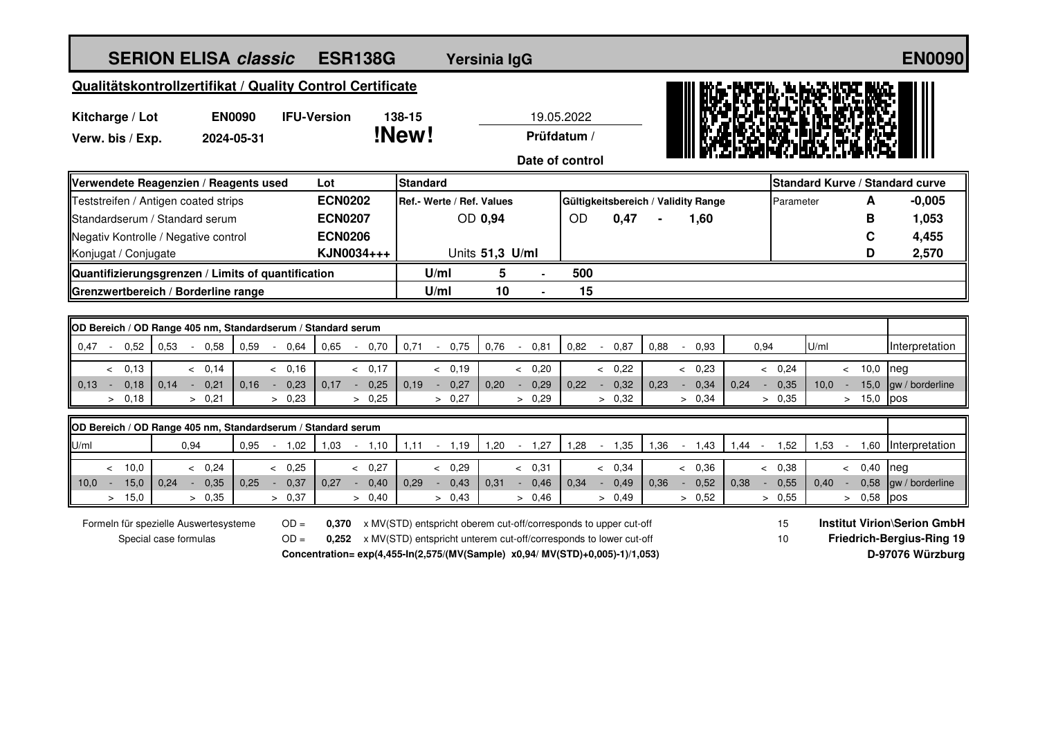| <b>SERION ELISA classic</b>                                                                                                        |                                                                               |                |                |                    | <b>ESR138G</b>       |                                                                   |         | Yersinia IgG    |                                     |            |           |        |                  |      |                                    |           |          |                |      |                                  |        | <b>EN0090</b>                   |
|------------------------------------------------------------------------------------------------------------------------------------|-------------------------------------------------------------------------------|----------------|----------------|--------------------|----------------------|-------------------------------------------------------------------|---------|-----------------|-------------------------------------|------------|-----------|--------|------------------|------|------------------------------------|-----------|----------|----------------|------|----------------------------------|--------|---------------------------------|
| Qualitätskontrollzertifikat / Quality Control Certificate                                                                          |                                                                               |                |                |                    |                      |                                                                   |         |                 |                                     |            |           |        |                  |      |                                    |           |          |                |      |                                  |        |                                 |
| <b>EN0090</b><br>Kitcharge / Lot                                                                                                   |                                                                               |                |                | <b>IFU-Version</b> |                      | 138-15                                                            |         |                 |                                     | 19.05.2022 |           |        |                  |      |                                    |           |          |                |      |                                  |        |                                 |
| Verw. bis / Exp.                                                                                                                   |                                                                               | 2024-05-31     |                |                    | !New!<br>Prüfdatum / |                                                                   |         |                 |                                     |            |           |        |                  |      |                                    |           |          |                |      |                                  |        |                                 |
|                                                                                                                                    |                                                                               |                |                |                    |                      | Date of control                                                   |         |                 |                                     |            |           |        |                  |      |                                    |           |          |                |      |                                  |        |                                 |
| Verwendete Reagenzien / Reagents used                                                                                              |                                                                               |                |                | Lot                |                      | <b>Standard</b>                                                   |         |                 |                                     |            |           |        |                  |      |                                    |           |          |                |      |                                  |        | Standard Kurve / Standard curve |
| Teststreifen / Antigen coated strips                                                                                               |                                                                               | <b>ECN0202</b> |                |                    |                      | Ref.- Werte / Ref. Values                                         |         |                 | Gültigkeitsbereich / Validity Range |            |           |        |                  |      |                                    | Parameter |          |                | A    | $-0,005$                         |        |                                 |
| Standardserum / Standard serum                                                                                                     |                                                                               |                |                | <b>ECN0207</b>     |                      |                                                                   |         | OD 0,94         |                                     |            | <b>OD</b> |        | 0,47             |      |                                    | 1,60      |          |                |      |                                  | в      | 1,053                           |
| Negativ Kontrolle / Negative control                                                                                               |                                                                               |                |                | <b>ECN0206</b>     |                      |                                                                   |         |                 |                                     |            |           |        |                  |      |                                    |           |          |                |      |                                  | C      | 4,455                           |
| Konjugat / Conjugate                                                                                                               |                                                                               |                |                |                    | KJN0034+++           |                                                                   |         | Units 51,3 U/ml |                                     |            |           |        |                  |      |                                    |           |          |                |      |                                  | D      | 2,570                           |
| Quantifizierungsgrenzen / Limits of quantification                                                                                 |                                                                               |                |                |                    |                      | U/ml                                                              |         | 5               |                                     | 500        |           |        |                  |      |                                    |           |          |                |      |                                  |        |                                 |
| Grenzwertbereich / Borderline range                                                                                                |                                                                               |                |                |                    |                      | U/ml                                                              |         | 10              |                                     | 15         |           |        |                  |      |                                    |           |          |                |      |                                  |        |                                 |
|                                                                                                                                    |                                                                               |                |                |                    |                      |                                                                   |         |                 |                                     |            |           |        |                  |      |                                    |           |          |                |      |                                  |        |                                 |
| OD Bereich / OD Range 405 nm, Standardserum / Standard serum                                                                       |                                                                               |                |                |                    |                      |                                                                   |         |                 |                                     |            |           |        |                  |      |                                    |           |          |                |      |                                  |        |                                 |
| $0.47 -$<br>0,52<br>0,53                                                                                                           | 0,58<br>$\sim$                                                                | 0.59           | 0.64<br>$\sim$ | 0.65               | 0,70                 | 0.71                                                              | $\sim$  | 0,75            | 0,76<br>$\sim$                      | 0,81       | 0,82      | $\sim$ | 0,87             | 0,88 |                                    | $-0,93$   |          | 0,94           | U/ml |                                  |        | Interpretation                  |
| < 0,13                                                                                                                             | & 0.14                                                                        |                | & 0.16         |                    | & 0,17               |                                                                   | & 0.19  |                 |                                     | & 0,20     |           |        | & 0,22           |      |                                    | & 0.23    |          | & 0.24         |      |                                  | < 10.0 | neg                             |
| $0.13 -$<br>0,18<br>0,14                                                                                                           | 0,21<br>$\sim$                                                                | 0,16           | 0,23<br>$\sim$ | 0,17               | 0,25<br>$\sim$       | 0,19                                                              | $-0,27$ |                 | 0,20<br>$\sim$                      | 0,29       | 0,22      | $\sim$ | 0,32             | 0,23 | $\sim$                             | 0,34      | 0,24     | 0,35<br>$\sim$ | 10,0 | $\sim$                           | 15,0   | gw / borderline                 |
| > 0,18                                                                                                                             | > 0,21                                                                        |                | > 0,23         |                    | > 0,25               |                                                                   | > 0,27  |                 |                                     | > 0,29     |           |        | > 0,32           |      |                                    | > 0,34    |          | > 0,35         |      |                                  | > 15,0 | pos                             |
| OD Bereich / OD Range 405 nm, Standardserum / Standard serum                                                                       |                                                                               |                |                |                    |                      |                                                                   |         |                 |                                     |            |           |        |                  |      |                                    |           |          |                |      |                                  |        |                                 |
| U/ml                                                                                                                               | 0,94                                                                          | 0,95           | $-1,02$        | 1,03               | $-1,10$              | 1,11                                                              | $-1,19$ |                 | 1,20                                | $-1,27$    | 1,28      |        | $-1,35$          | 1,36 | $-1,43$                            |           | $1,44 -$ | 1,52           | 1,53 | $\sim$                           | 1,60   | Interpretation                  |
| < 10.0                                                                                                                             | & 0.24                                                                        |                | & 0.25         |                    | & 0,27               |                                                                   | < 0,29  |                 |                                     | < 0,31     |           |        | < 0,34           |      |                                    | & 0.36    |          | & 0,38         |      |                                  | < 0,40 | Ineg                            |
| 15,0<br>10,0<br>0.24<br>$\sim$                                                                                                     | 0,35<br>$\sim$                                                                | 0.25           | 0,37<br>$\sim$ | 0.27               | 0,40<br>$\sim$       | 0.29                                                              | $\sim$  | 0,43            | 0.31<br>$\sim$                      | 0,46       | 0.34      | $\sim$ | 0,49             | 0.36 | $\sim$                             | 0,52      | 0.38     | 0,55<br>$\sim$ | 0.40 | $\sim$                           | 0,58   | gw / borderline                 |
| > 15,0                                                                                                                             | > 0,35                                                                        |                | > 0,37         |                    | > 0,40               |                                                                   | > 0,43  |                 |                                     | > 0,46     |           |        | > 0.49           |      |                                    | > 0,52    |          | > 0,55         |      |                                  | > 0.58 | pos                             |
| Formeln für spezielle Auswertesysteme<br>$OD =$<br>x MV(STD) entspricht oberem cut-off/corresponds to upper cut-off<br>15<br>0.370 |                                                                               |                |                |                    |                      |                                                                   |         |                 |                                     |            |           |        |                  |      | <b>Institut Virion\Serion GmbH</b> |           |          |                |      |                                  |        |                                 |
| Special case formulas<br>$OD =$<br>0,252                                                                                           |                                                                               |                |                |                    |                      | x MV(STD) entspricht unterem cut-off/corresponds to lower cut-off |         |                 |                                     |            |           |        |                  |      |                                    |           |          | 10             |      | <b>Friedrich-Bergius-Ring 19</b> |        |                                 |
|                                                                                                                                    | Concentration= exp(4,455-ln(2,575/(MV(Sample) x0,94/ MV(STD)+0,005)-1)/1,053) |                |                |                    |                      |                                                                   |         |                 |                                     |            |           |        | D-97076 Würzburg |      |                                    |           |          |                |      |                                  |        |                                 |
|                                                                                                                                    |                                                                               |                |                |                    |                      |                                                                   |         |                 |                                     |            |           |        |                  |      |                                    |           |          |                |      |                                  |        |                                 |
|                                                                                                                                    |                                                                               |                |                |                    |                      |                                                                   |         |                 |                                     |            |           |        |                  |      |                                    |           |          |                |      |                                  |        |                                 |
|                                                                                                                                    |                                                                               |                |                |                    |                      |                                                                   |         |                 |                                     |            |           |        |                  |      |                                    |           |          |                |      |                                  |        |                                 |
|                                                                                                                                    |                                                                               |                |                |                    |                      |                                                                   |         |                 |                                     |            |           |        |                  |      |                                    |           |          |                |      |                                  |        |                                 |